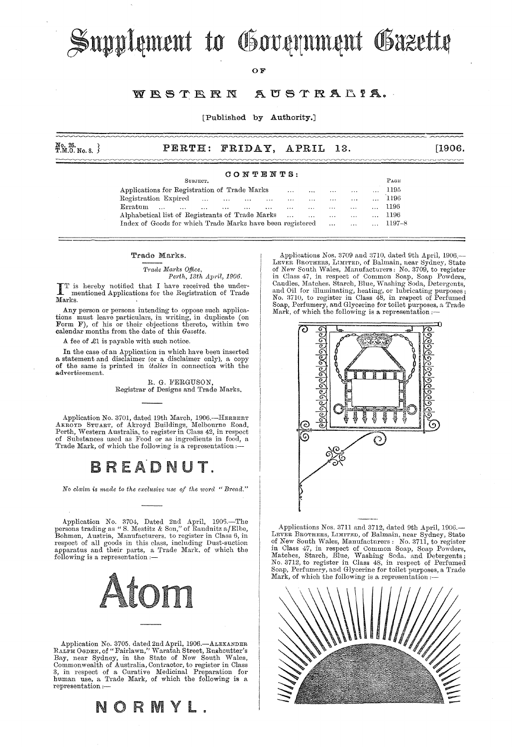# Supplement to Government Gazette

#### OF

#### WESTERN AUSTRALIA.

[Published by Authority.]

| $_{\rm T.M.0.~No.~8.}^{\rm No.~26.}$  |  | PERTH: FRIDAY, APRIL 13. |  |  | [1906] |  |  |  |  |  |
|---------------------------------------|--|--------------------------|--|--|--------|--|--|--|--|--|
| And what there are then they were and |  |                          |  |  |        |  |  |  |  |  |

### CONTENTS:

| .                                                                                                        |          |          |          |        |
|----------------------------------------------------------------------------------------------------------|----------|----------|----------|--------|
| SUBJECT.                                                                                                 |          |          |          | PAGE   |
| Applications for Registration of Trade Marks<br>$\cdots$<br>$\cdots$                                     | $\cdots$ | $\cdots$ |          | 1195   |
| Registration Expired<br>$\cdots$<br>$\sim$ $\sim$ $\sim$<br>$\cdots$<br>$\cdots$<br>$\cdots$<br>$\cdots$ | $\cdots$ | $\cdots$ | $\cdots$ | 1196   |
| Erratum<br>$\cdots$<br>$\cdots$<br>$\cdots$<br>$\cdots$<br>$\cdots$<br>$\cdots$<br>$\cdots$              | $\cdots$ | $\cdots$ | $\cdots$ | 1196   |
| Alphabetical list of Registrants of Trade Marks<br>$\cdots$<br>$\cdots$                                  | $\cdots$ | $\cdots$ | $\cdots$ | 1196   |
| Index of Goods for which Trade Marks have been registered                                                | $\cdots$ | $\cdots$ | $\cdots$ | 1197–8 |
|                                                                                                          |          |          |          |        |

#### Trade Marks.

 $Trade$  *Marks Office*, *Perth, 13th April, 1906.* 

IT is hereby notified that I have received the under-<br>mentioned Applications for the Registration of Trade Marks.

Any person or persons intending to oppose such applica-tions must leave particulars, in writing, in duplicate (on Form F), of his or their objections thereto, within two calendar months from the date of this *Gazette*.

A fee of £1 is payable with such notice.

In the case of an Application in which have been inserted a statement and disclaimer (or a disclaimer only), a copy of the same is printed in *italics* in connection with the advertisement.

> R. G. FERGUSON, Registrar of Designs and Trade Marks.

Application No. 3701, dated 19th March, 1906.-HERBERT AKROYD STUART, of Akroyd Buildings, Melbourne Road, Perth, Western Australia, to register in Class 42, in respect of Substances used as Food or as ingredients in food, a Trade Mark, of which the following is a representati

# BREADNUT.

*No claim is made to the exclusive use of the word "Bread."* 

Application No. 3704, Dated 2nd April, 1905.—The persons trading as "S. Mestitz & Son," of Raudnitz a/Elbe, Bohmen, Austria, Manufacturers, to register in Class 6, in respect of all goods in this class, including Dust-suct following is a representation :-



Application No. 3705, dated 2nd April, 1906.—ALEXANDER<br>RALPH OGDEN, of "Fairlawn," Waratah Street, Rushcutter's<br>Bay, near Sydney, in the State of New South Wales,<br>Commonwealth of Australia, Contrator, to register in Class<br> representation



Applications Nos. 3709 and 3710, dated 9th April, 1906.-LEVER BROTHERS, LIMITED, of Balmain, near Sydney, State of New South Wales, Manufacturers: No. 3709, to register in Class 47, in respect of Common Soap, Soap Powders, Candles, Matches. Starch, Blue, Washing Soda, Detergents, and Oil for illuminating, heating, or lubricating purposes; No. 3710, to register in Class 48, in respect of Perfumed Soap, Perfumery, and Glycerine for toilet purposes, a Trade Mark, of which the following is a representation :—



Applications Nos. 3711 and 3712, dated 9th April, 190G.- LEVER BROTHERS, LIMITED, of Balmain, near Sydney, State of New South Wales, Manufacturers : No. 3711, to register<br>in Class 47, in respect of Common Soap, Soap Powders,<br>Matches, Starch, Blue, Washing Soda, and Detergents;<br>No. 3712, to register in Class 48, in respect of Perfumed Soap, Perfumery, and Glycerine for toilet purposes, a Trade Mark, of which the following is a representation:

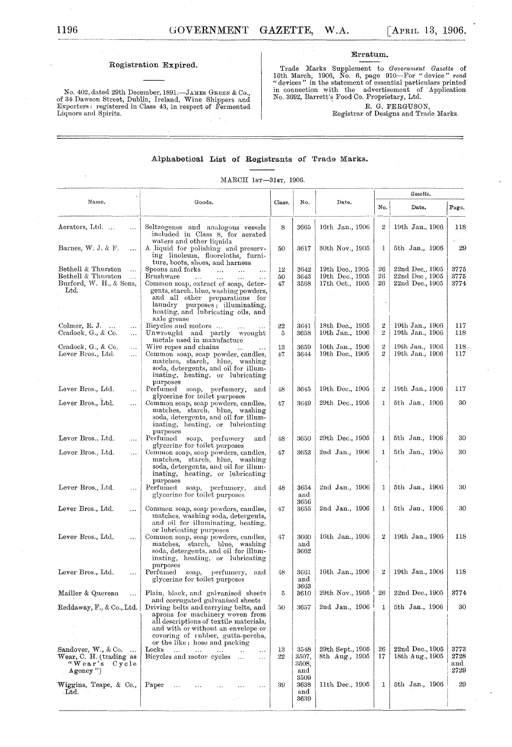No. 402, dated 29th December, 1891.—JAMES GREEN & Co., of 34 Dawson Street, Dublin, Ireland, Wine Shippers and Exporters: registered in Class 43, in respect of Fermented Liquors and Spirits.

#### Erratum.

Trade Marks Supplement to Government Gazette of 16th March, 1906, No. 6, page 910—For "device" read "devices" in the statement of essential particulars printed in connection with the advertisement of Application No. 3692,

R. G. FERGUSON, Registrar of Designs and Trade Marks.

#### Alphabetical List of Registrants of Trade Marks.

#### MARCH 1sr-31sr, 1906.

|                                                                                                                |                                                                                                                                                                                                                                                                                                                               |                |                                       |                                                       | Gazette.                           |                                                      |                             |  |  |
|----------------------------------------------------------------------------------------------------------------|-------------------------------------------------------------------------------------------------------------------------------------------------------------------------------------------------------------------------------------------------------------------------------------------------------------------------------|----------------|---------------------------------------|-------------------------------------------------------|------------------------------------|------------------------------------------------------|-----------------------------|--|--|
| Name.                                                                                                          | Goods.                                                                                                                                                                                                                                                                                                                        | Class.         | No.                                   | Date.                                                 | No.                                | Date.                                                | Page.                       |  |  |
| Aerators, Ltd<br>$\ldots$                                                                                      | Seltzogenes and analogous vessels<br>included in Class 8, for aerated<br>waters and other liquids                                                                                                                                                                                                                             | 8              | 3665                                  | 16th Jan., 1906                                       | $\overline{2}$                     | 19th Jan., 1906                                      | 118                         |  |  |
| Barnes, W. J. & F.<br>$\ddotsc$                                                                                | A liquid for polishing and preserv-<br>ing linoleum, floorcloths, furni-<br>ture, boots, shoes, and harness                                                                                                                                                                                                                   | 50             | 3617                                  | 30th Nov., 1905                                       | 1                                  | 5th Jan., 1906                                       | 29                          |  |  |
| Bethell & Thurston<br>$\ddotsc$<br>Bethell & Thurston<br>$\ddotsc$<br>Burford, W. H., & Sons,<br>$_{\rm Ltd.}$ | Spoons and forks<br>$\cdots$<br>$\mathbf{L}$<br>$\ddotsc$<br>Brushware<br>$\ddotsc$<br>$\ddotsc$<br>$\ddotsc$<br>.<br>Common soap, extract of soap, deter-<br>gents, starch, blue, washing powders,<br>and all other preparations for<br>laundry purposes; illuminating,<br>heating, and Iubricating oils, and<br>axle grease | 12<br>50<br>47 | 3642<br>3643<br>3568                  | 19th Dec., 1905<br>19th Dec., 1905<br>17th Oct., 1905 | 26<br>26<br>26                     | 22nd Dec., 1905<br>22nd Dec, 1905<br>22nd Dec., 1905 | 3775<br>3775<br>3774        |  |  |
| Colmer, R. J.<br>$\cdots$<br>$\ldots$<br>Cradock, G., & Co.<br>$\cdots$                                        | Bicycles and motors<br>Unwrought and partly wrought<br>metals used in manufacture                                                                                                                                                                                                                                             | 22<br>5        | 3641<br>3658                          | 18th Dec., 1905<br>10th Jan., 1906                    | 2<br>$\overline{2}$                | 19th Jan., 1906<br>19th Jan., 1906                   | 117<br>118                  |  |  |
| Cradock, G., & Co.<br>$\cdots$<br>Lever Bros., Ltd.<br>                                                        | Wire ropes and chains<br>$\sim 100$<br>Common soap, soap powder, candles,<br>matches, starch, blue, washing<br>soda, detergents, and oil for illum-<br>inating, heating, or lubricating<br>purposes                                                                                                                           | 13<br>47       | 3659<br>3644                          | 10th Jan., 1906<br>19th Dec., 1905                    | $\boldsymbol{2}$<br>$\overline{2}$ | 19th Jan., 1906<br>19th Jan., 1906                   | 118.<br>117                 |  |  |
| Lever Bros., Ltd.<br>$\ldots$                                                                                  | Perfumed soap, perfumery,<br>and<br>glycerine for toilet purposes                                                                                                                                                                                                                                                             | 48             | 3645                                  | 19th Dec., 1905                                       | 2                                  | 19th Jan., 1906                                      | 117                         |  |  |
| Lever Bros., Ltd.                                                                                              | Common soap, soap powders, candles,<br>matches, starch, blue, washing<br>soda, detergents, and oil for illum-<br>inating, heating, or lubricating<br>purposes                                                                                                                                                                 | 47             | 3649                                  | 29th Dec., 1905                                       | 1                                  | 5th Jan., 1906                                       | 30                          |  |  |
| Lever Bros., Ltd.<br>$\cdots$                                                                                  | Perfumed<br>soap, perfumery<br>and<br>glycerine for toilet purposes                                                                                                                                                                                                                                                           | 48             | 3650                                  | 29th Dec., 1905                                       | 1                                  | 5th Jan., 1906                                       | 30                          |  |  |
| Lever Bros., Ltd.<br>$\ddotsc$                                                                                 | Common soap, soap powders, candles,<br>matches, starch, blue, washing<br>soda, detergents, and oil for illum-<br>inating, heating, or lubricating<br>purposes                                                                                                                                                                 | 47             | 3653                                  | 2nd Jan., 1906                                        | 1                                  | 5th Jan., 1906                                       | 30                          |  |  |
| Lever Bros., Ltd.<br>$\cdots$                                                                                  | Perfumed soap, perfumery,<br>and<br>glycerine for toilet purposes                                                                                                                                                                                                                                                             | 48             | 3654<br>and<br>3656                   | 2nd Jan., 1906                                        | 1                                  | 5th Jan., 1906                                       | 30                          |  |  |
| Lever Bros., Ltd.<br>$\cdots$                                                                                  | Common soap, soap powders, candles,<br>matches, washing soda, detergents,<br>and oil for illuminating, heating,<br>or lubricating purposes                                                                                                                                                                                    | 47             | 3655                                  | 2nd Jan., 1906                                        | 1                                  | 5th Jan., 1906                                       | 30                          |  |  |
| Lever Bros., Ltd.<br>$\cdots$                                                                                  | Common soap, soap powders, candles,<br>matches, starch, blue, washing<br>soda, detergents, and oil for illum-<br>inating, heating, or lubricating<br>purposes                                                                                                                                                                 | 47             | 3660<br>and<br>3662                   | 16th Jan., 1906                                       | 2                                  | 19th Jan., 1906                                      | 118                         |  |  |
| Lever Bros., Ltd.<br>$\ddotsc$                                                                                 | Perfumed soap, perfumery,<br>and<br>glycerine for toilet purposes                                                                                                                                                                                                                                                             | 48             | 3661<br>and<br>3663                   | 16th Jan., 1906                                       | $\boldsymbol{2}$                   | 19th Jan., 1906                                      | 118                         |  |  |
| Mailler & Quereau                                                                                              | Plain, black, and galvanised sheets<br>and corrugated galvanised sheets                                                                                                                                                                                                                                                       | 5              | 3610                                  | 29th Nov., 1905                                       | 26                                 | 22nd Dec., 1905                                      | 3774                        |  |  |
| Reddaway, F., & Co., Ltd.                                                                                      | Driving belts and carrying belts, and<br>aprons for machinery woven from<br>all descriptions of textile materials,<br>and with or without an envelope or<br>covering of rubber, gutta-percha,<br>or the like; hose and packing                                                                                                | 50             | 3657                                  | 2nd Jan., 1906                                        | 1                                  | 5th Jan., 1906                                       | 30                          |  |  |
| Sandover, W., & Co.<br>Wear, C. H. (trading as<br>"Wear's Cycle<br>$\Delta$ gency ")                           | Locks<br>$\ldots$<br>and the control<br>$\ldots$<br>Bicycles and motor cycles<br>$\sim$                                                                                                                                                                                                                                       | 13<br>22       | 3548<br>3507,<br>3508,<br>and<br>3509 | 29th Sept., 1905<br>8th Aug., 1905                    | 26<br>17                           | 22nd Dec., 1905<br>18th Aug., 1905                   | 3773<br>2728<br>and<br>2729 |  |  |
| Wiggins, Teape, & Co.,<br>$-Ltd.$                                                                              | Paper<br>$\cdots$                                                                                                                                                                                                                                                                                                             | 39             | 3638<br>and<br>3639                   | 11th Dec., 1905                                       | 1                                  | 5th Jan., 1906                                       | 29                          |  |  |
|                                                                                                                |                                                                                                                                                                                                                                                                                                                               |                |                                       |                                                       |                                    |                                                      |                             |  |  |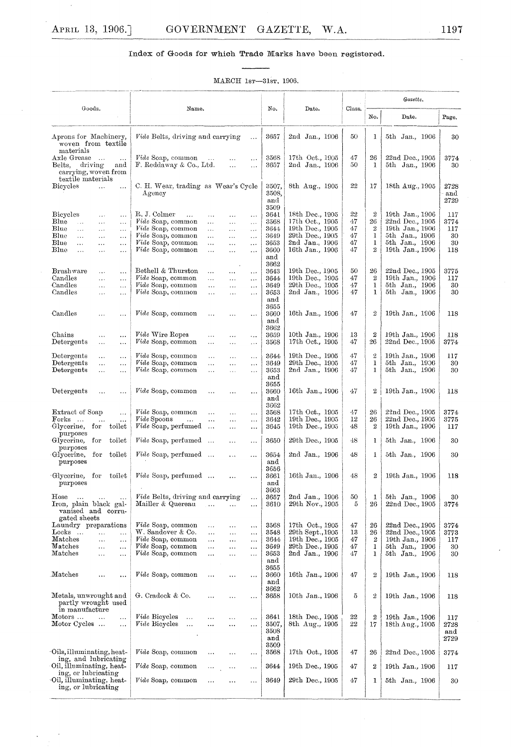$\hat{\mathbf{v}}$ 

 $\ddot{\phantom{a}}$ 

## Index of Goods for which Trade Marks have been registered.

#### MARCH 1sr $-31$ sr, 1906.

| Goods.<br>Name.                                                                                                          |                                                                                                                                                                                                   | No.                                  |                                                                           | Class.               | Gazette.                                   |                                                                         |                            |  |
|--------------------------------------------------------------------------------------------------------------------------|---------------------------------------------------------------------------------------------------------------------------------------------------------------------------------------------------|--------------------------------------|---------------------------------------------------------------------------|----------------------|--------------------------------------------|-------------------------------------------------------------------------|----------------------------|--|
|                                                                                                                          |                                                                                                                                                                                                   |                                      | Date.                                                                     |                      | No.                                        | Date.                                                                   | Page.                      |  |
| Aprons for Machinery,<br>woven from textile<br>materials                                                                 | Vide Belts, driving and carrying<br>.                                                                                                                                                             | 3657                                 | 2nd Jan., 1906                                                            | 50                   | 1                                          | 5th Jan., 1906                                                          | 30                         |  |
| Axle Grease<br>$\ddotsc$<br>driving<br>Belts,<br>and<br>carrying, woven from<br>textile materials                        | Vide Soap, common<br>$\ddotsc$<br><br><br>F. Reddaway & Co., Ltd.<br>$\ddotsc$<br>$\ldots$                                                                                                        | 3568<br>3657                         | 17th Oct., 1905<br>2nd Jan., 1906                                         | 47<br>50             | 26<br>1                                    | 22nd Dec., 1905<br>5th Jan., 1906                                       | 3774<br>30                 |  |
| <b>Bicycles</b><br>$\ldots$<br>$\ddotsc$                                                                                 | C. H. Wear, trading as Wear's Cycle<br>$_{\rm Agencv}$                                                                                                                                            | 3507,<br>3508,<br>and<br>3509        | 8th Aug., 1905                                                            | $^{22}$              | 17                                         | 18th Aug., 1905                                                         | 2728<br>and<br>2729        |  |
| <b>Bicycles</b><br>$\ddotsc$<br>$\ddotsc$<br>Blue<br>$\ldots$<br>$\ldots$<br>$\ldots$<br>Blue<br>$\ldots$<br>$\ldots$    | R.J. Colmer<br>$\ddotsc$<br>$\cdots$<br>.<br>$\cdots$<br>Vide Soap, common<br>$\cdots$<br>$\ldots$<br>.<br><i>Vide</i> Soap, common<br>.<br>$\ldots$                                              | 3641<br>3568<br>3644                 | 18th Dec., 1905<br>17th Oct., 1905<br>19th Dec., 1905                     | 22<br>47<br>47       | $\boldsymbol{2}$<br>26<br>$\boldsymbol{2}$ | 19th Jan., 1906<br>22nd Dec., 1905<br>19th Jan., 1906                   | 117<br>3774<br>117         |  |
| .<br>Blue<br>$\ldots$<br>$\ldots$<br>$\ldots$<br>Blue<br>$\ddotsc$<br>$\ldots$<br>.<br>Blue<br>$\ldots$<br>$\cdots$<br>. | $\ddotsc$<br><i>Vide</i> Soap, common<br>$\cdots$<br>$\ldots$<br>$\cdots$<br>Vide Soap, common<br>.<br>$\ddotsc$<br>$\cdots$<br>Vide Soap, common<br>.<br>.<br>$\cdots$                           | 3649<br>3653<br>3660<br>and          | 29th Dec., 1905<br>2nd Jan., 1906<br>16th Jan., 1906                      | 47<br>47<br>47       | 1<br>1<br>$\bar{2}$                        | 5th Jan., 1906<br>5th Jan., 1906<br>19th Jan., 1906                     | 30<br>30<br>118            |  |
| Brushware<br>$\ddotsc$<br>$\cdots$<br>Candles<br>$\ldots$<br>$\cdots$<br>Candles<br>$\ldots$<br>$\ddotsc$                | Bethell & Thurston<br>.<br>$\cdots$<br>$\cdots$<br>Vide Soap, common<br>.<br>$\ldots$<br>$\ldots$<br>Vide Soap, common<br>$\cdots$<br>$\cdots$<br>$\ddotsc$                                       | 3662<br>3643<br>3644<br>3649         | 19th Dec., 1905<br>19th Dec., 1905<br>29th Dec., 1905                     | 50<br>47<br>47       | 26<br>$\overline{2}$<br>1                  | 22nd Dec., 1905<br>19th Jan., 1906<br>5th Jan., 1906                    | 3775<br>117<br>30          |  |
| Candles<br>$\ldots$<br>$\cdots$                                                                                          | Vide Soap, common<br>$\ddotsc$<br>$\ddotsc$<br>.                                                                                                                                                  | 3653<br>and<br>3655                  | 2nd Jan., 1906                                                            | 47                   | 1                                          | 5th Jan., 1906                                                          | 30                         |  |
| Candles<br>$\ldots$<br>.                                                                                                 | Vide Soap, common<br>$\cdots$<br>$\cdots$<br>$\cdots$                                                                                                                                             | 3660<br>and<br>3662                  | 16th Jan., 1906                                                           | 47                   | $\mathbf{2}$                               | 19th Jan., 1906                                                         | 118                        |  |
| Chains<br>$\cdots$<br>$\ldots$<br>Detergents<br>$\ldots$<br>$\ddotsc$                                                    | <i>Vide</i> Wire Ropes<br>.<br>.<br>.<br>Vide Soap, common<br>$\ddotsc$<br>$\ddotsc$<br>$\ldots$                                                                                                  | 3659<br>3568                         | 10th Jan., 1906<br>17th Oct., 1905                                        | 13<br>47             | $\boldsymbol{2}$<br>26                     | 19th Jan., 1906<br>22nd Dec., 1905                                      | 118<br>3774                |  |
| Detergents<br>$\ddotsc$<br>$\cdots$<br>Detergents<br>$\ldots$<br>.<br>Detergents<br>$\ldots$<br>$\ddotsc$                | <i>Vide</i> Soap, common<br>$\ddotsc$<br>.<br>$\cdots$<br>Vide Soap, common<br>.<br>$\ldots$<br>$\cdots$<br>Vide Soap, common<br>$\ldots$<br>$\ddotsc$<br>$\ddotsc$                               | 3644<br>3649<br>3653<br>and          | 19th Dec., 1905<br>29th Dec., 1905<br>2nd Jan., 1906                      | 47<br>47<br>47       | $\tilde{z}$<br>1<br>$\mathbf{1}$           | 19th Jan., 1906<br>5th Jan., 1906<br>5th Jan., 1906                     | 117<br>30<br>30            |  |
| Detergents<br>$\ddotsc$<br>$\ddotsc$                                                                                     | Vide Soap, common<br>$\ddotsc$<br>$\cdots$<br>$\cdots$                                                                                                                                            | 3655<br>3660<br>and<br>3662          | 16th Jan., 1906                                                           | 47                   | 2                                          | 19th Jan., 1906                                                         | 118                        |  |
| Extract of Soap<br>$\ddotsc$<br>Forks<br>$\ldots$<br>Glycerine,<br>for<br>toilet                                         | Vide Soap, common<br>$\cdots$<br>$\cdots$<br>$\cdots$<br><i>Vide</i> Spoons<br>$\ddotsc$<br>.<br>$\cdots$<br>$\ldots$<br>Vide Soap, perfumed<br>$\ldots$<br>.<br>$\ldots$                         | 3568<br>3642<br>3645                 | 17th Oct., 1905<br>19th Dec., 1905<br>19th Dec., 1905                     | 47<br>12<br>48       | 26<br>26<br>$\boldsymbol{2}$               | 22nd Dec., 1905<br>22nd Dec., 1905<br>19th Jan., 1906                   | 3774<br>3775<br>117        |  |
| purposes<br>toilet<br>Glycerine,<br>for<br>purposes                                                                      | <i>Vide</i> Soap, perfumed<br>$\ldots$<br>.<br>.                                                                                                                                                  | 3650                                 | 29th Dec., 1905                                                           | 48                   | 1                                          | 5th Jan., 1906                                                          | 30                         |  |
| Glycerine,<br>for<br>toilet<br>purposes                                                                                  | Vide Soap, perfumed<br>$\ldots$<br>.                                                                                                                                                              | 3654<br>and<br>3656                  | 2nd Jan., 1906                                                            | 48                   | 1                                          | 5th Jan., 1906                                                          | 30                         |  |
| for<br>toilet<br>Glycerine,<br>purposes                                                                                  | Vide Soap, perfumed<br>.<br>                                                                                                                                                                      | 3661<br>and<br>3663                  | 16th Jan., 1906                                                           | 48                   | 2                                          | 19th Jan., 1906                                                         | 118                        |  |
| Hose<br>$\sim$<br>$\ldots$<br>$\sim$ $\sim$<br>Iron, plain black gal-<br>vanised and corru-<br>gated sheets              | Vide Belts, driving and carrying<br>$\cdots$<br>Mailler & Quereau<br>$\sim$ 100 $\mu$<br>$\ddotsc$<br>                                                                                            | 3657<br>3610                         | 2nd Jan., 1906<br>29th Nov., 1905                                         | 50<br>5              | 1<br>26                                    | 5th Jan., 1906<br>22nd Dec., 1905                                       | 30<br>3774                 |  |
| Laundry preparations<br>Locks<br>$\cdots$<br>$\ddotsc$<br>Matches<br>$\ldots$<br>$\ldots$<br>Matches<br>$\ldots$         | Vide Soap, common<br>$\ddotsc$<br>$\cdots$<br>i in<br>W. Sandover & Co.<br>$\ddotsc$<br>$\ddotsc$<br>$\ldots$<br>Vide Soap, common<br>.<br>$\ddotsc$<br>$\ldots$<br>Vide Soap, common<br>$\cdots$ | 3568<br>3548<br>3644<br>3649         | 17th Oct., 1905<br>29th Sept., 1905<br>19th Dec., 1905<br>29th Dec., 1905 | 47<br>13<br>47<br>47 | 26<br>26<br>$\boldsymbol{2}$<br>1          | 22nd Dec., 1905<br>22nd Dec., 1905<br>19th Jan., 1906<br>5th Jan., 1906 | 3774<br>3773<br>117<br>30  |  |
| $\ddotsc$<br>Matches<br>$\cdots$<br>$\ldots$                                                                             | $\cdots$<br><br>Vide Soap, common<br>.<br>$\ldots$<br>.                                                                                                                                           | 3653<br>and<br>3655                  | 2nd Jan., 1906                                                            | 47                   | 1                                          | 5th Jan., 1906                                                          | 30                         |  |
| Matches<br>$\ddotsc$<br>                                                                                                 | Vide Soap, common<br>$\ddotsc$<br><br>$\cdots$                                                                                                                                                    | 3660<br>and<br>3662                  | 16th Jan., 1906                                                           | 47                   | $\boldsymbol{2}$                           | 19th Jan., 1906                                                         | 118                        |  |
| Metals, unwrought and<br>partly wrought used<br>in manufacture                                                           | G. Cradock & Co.<br>.<br>.<br>                                                                                                                                                                    | 3658                                 | 10th Jan., 1906                                                           | 5                    | 2                                          | 19th Jan., 1906                                                         | 118                        |  |
| Motors<br>$\ddotsc$<br>$\ldots$<br>Motor Cycles<br>$\ddotsc$                                                             | Vide Bicycles<br>$\sim 10^{-1}$<br>.<br>$\ddotsc$<br>.<br><i>Vide</i> Bicycles<br>$\cdots$<br>.<br><br>$\ldots$                                                                                   | 3641<br>3507,<br>3508<br>and<br>3509 | 18th Dec., 1905<br>8th Aug., 1905                                         | 22<br>22             | $\boldsymbol{2}$<br>17                     | 19th Jan., 1906<br>18th Aug., 1905                                      | 117<br>2728<br>and<br>2729 |  |
| Oils, illuminating, heat-<br>ing, and lubricating                                                                        | Vide Soap, common<br>$\cdots$<br>.                                                                                                                                                                | 3568                                 | 17th Oct., 1905                                                           | 47                   | 26                                         | 22nd Dec., 1905                                                         | 3774                       |  |
| Oil, illuminating, heat-<br>ing, or lubricating                                                                          | Vide Soap, common<br>$\ddotsc$<br>.<br>.                                                                                                                                                          | 3644                                 | 19th Dec., 1905                                                           | 47                   | $\boldsymbol{2}$                           | 19th Jan., 1906                                                         | 117                        |  |
| Oil, illuminating, heat-<br>ing, or lubricating                                                                          | Vide Soap, common<br><br>$\cdots$<br>$\ddot{\phantom{a}}$                                                                                                                                         | 3649                                 | 29th Dec., 1905                                                           | 47                   | 1                                          | 5th Jan., 1906                                                          | 30                         |  |